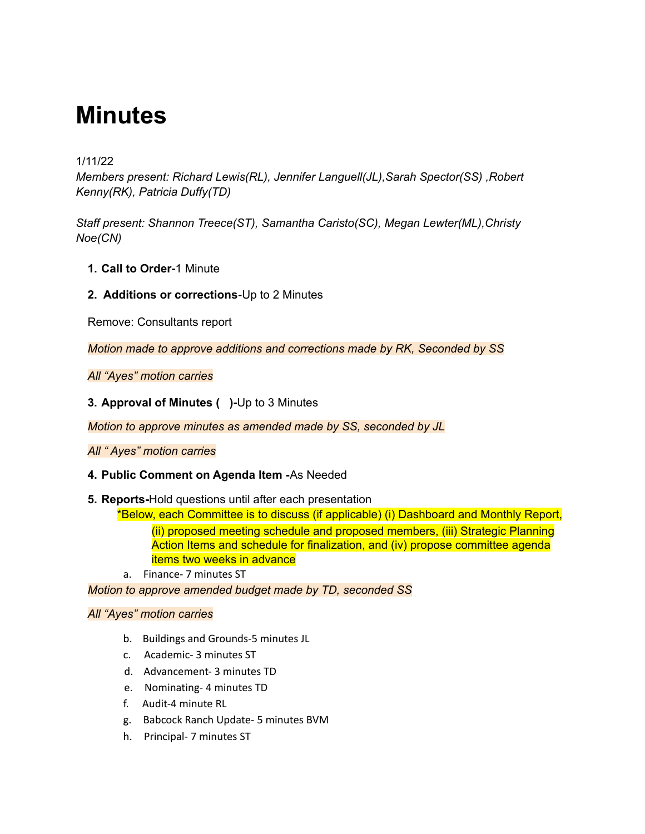# **Minutes**

# 1/11/22

*Members present: Richard Lewis(RL), Jennifer Languell(JL),Sarah Spector(SS) ,Robert Kenny(RK), Patricia Duffy(TD)*

*Staff present: Shannon Treece(ST), Samantha Caristo(SC), Megan Lewter(ML),Christy Noe(CN)*

- **1. Call to Order-**1 Minute
- **2. Additions or corrections**-Up to 2 Minutes

Remove: Consultants report

*Motion made to approve additions and corrections made by RK, Seconded by SS*

*All "Ayes" motion carries*

**3. Approval of Minutes ( )-**Up to 3 Minutes

*Motion to approve minutes as amended made by SS, seconded by JL*

*All " Ayes" motion carries*

#### **4. Public Comment on Agenda Item -**As Needed

**5. Reports-**Hold questions until after each presentation

\*Below, each Committee is to discuss (if applicable) (i) Dashboard and Monthly Report, (ii) proposed meeting schedule and proposed members, (iii) Strategic Planning Action Items and schedule for finalization, and (iv) propose committee agenda items two weeks in advance

a. Finance- 7 minutes ST

*Motion to approve amended budget made by TD, seconded SS*

#### *All "Ayes" motion carries*

- b. Buildings and Grounds-5 minutes JL
- c. Academic- 3 minutes ST
- d. Advancement- 3 minutes TD
- e. Nominating- 4 minutes TD
- f. Audit-4 minute RL
- g. Babcock Ranch Update- 5 minutes BVM
- h. Principal- 7 minutes ST